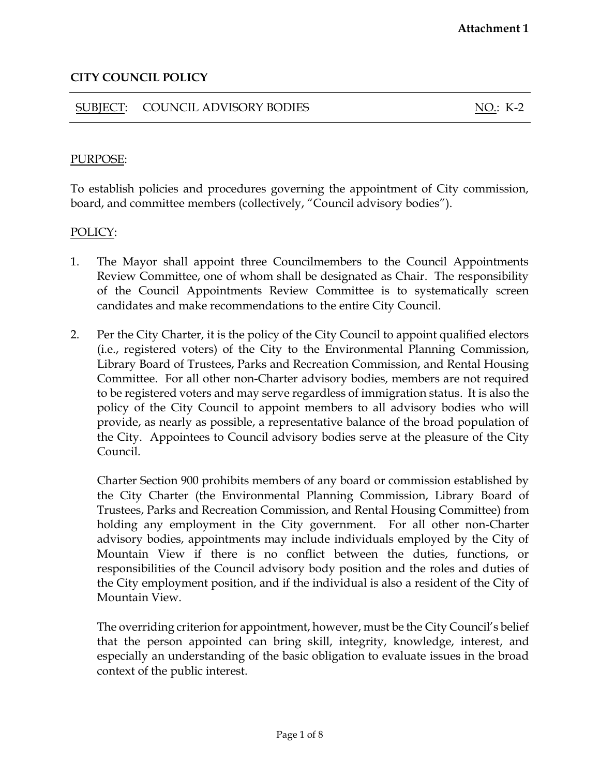### SUBJECT: COUNCIL ADVISORY BODIES NO.: K-2

## PURPOSE:

To establish policies and procedures governing the appointment of City commission, board, and committee members (collectively, "Council advisory bodies").

#### POLICY:

- 1. The Mayor shall appoint three Councilmembers to the Council Appointments Review Committee, one of whom shall be designated as Chair. The responsibility of the Council Appointments Review Committee is to systematically screen candidates and make recommendations to the entire City Council.
- 2. Per the City Charter, it is the policy of the City Council to appoint qualified electors (i.e., registered voters) of the City to the Environmental Planning Commission, Library Board of Trustees, Parks and Recreation Commission, and Rental Housing Committee. For all other non-Charter advisory bodies, members are not required to be registered voters and may serve regardless of immigration status. It is also the policy of the City Council to appoint members to all advisory bodies who will provide, as nearly as possible, a representative balance of the broad population of the City. Appointees to Council advisory bodies serve at the pleasure of the City Council.

Charter Section 900 prohibits members of any board or commission established by the City Charter (the Environmental Planning Commission, Library Board of Trustees, Parks and Recreation Commission, and Rental Housing Committee) from holding any employment in the City government. For all other non-Charter advisory bodies, appointments may include individuals employed by the City of Mountain View if there is no conflict between the duties, functions, or responsibilities of the Council advisory body position and the roles and duties of the City employment position, and if the individual is also a resident of the City of Mountain View.

The overriding criterion for appointment, however, must be the City Council's belief that the person appointed can bring skill, integrity, knowledge, interest, and especially an understanding of the basic obligation to evaluate issues in the broad context of the public interest.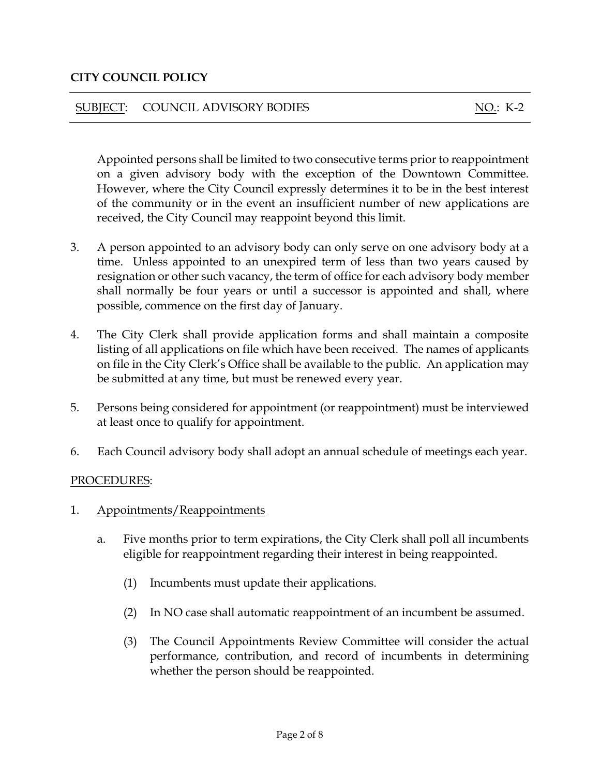# SUBJECT: COUNCIL ADVISORY BODIES NO.: K-2

Appointed persons shall be limited to two consecutive terms prior to reappointment on a given advisory body with the exception of the Downtown Committee. However, where the City Council expressly determines it to be in the best interest of the community or in the event an insufficient number of new applications are received, the City Council may reappoint beyond this limit.

- 3. A person appointed to an advisory body can only serve on one advisory body at a time. Unless appointed to an unexpired term of less than two years caused by resignation or other such vacancy, the term of office for each advisory body member shall normally be four years or until a successor is appointed and shall, where possible, commence on the first day of January.
- 4. The City Clerk shall provide application forms and shall maintain a composite listing of all applications on file which have been received. The names of applicants on file in the City Clerk's Office shall be available to the public. An application may be submitted at any time, but must be renewed every year.
- 5. Persons being considered for appointment (or reappointment) must be interviewed at least once to qualify for appointment.
- 6. Each Council advisory body shall adopt an annual schedule of meetings each year.

## PROCEDURES:

- 1. Appointments/Reappointments
	- a. Five months prior to term expirations, the City Clerk shall poll all incumbents eligible for reappointment regarding their interest in being reappointed.
		- (1) Incumbents must update their applications.
		- (2) In NO case shall automatic reappointment of an incumbent be assumed.
		- (3) The Council Appointments Review Committee will consider the actual performance, contribution, and record of incumbents in determining whether the person should be reappointed.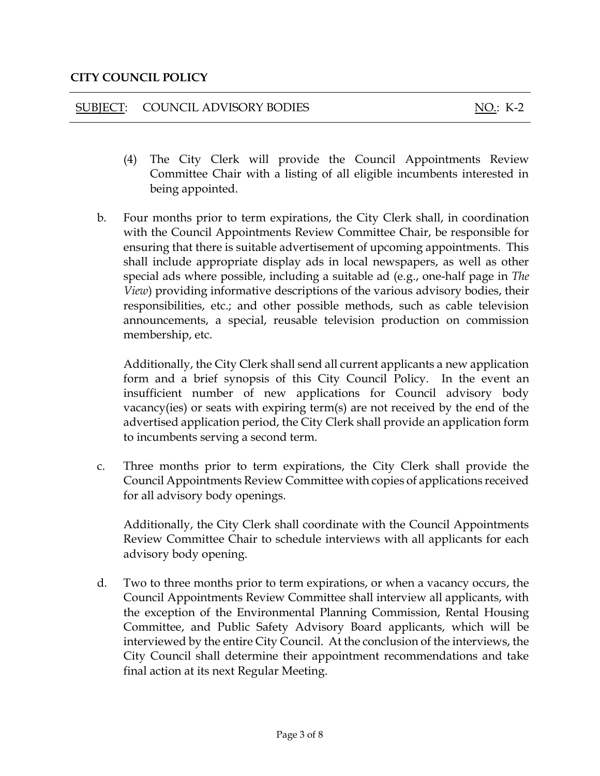### SUBJECT: COUNCIL ADVISORY BODIES NO.: K-2

- (4) The City Clerk will provide the Council Appointments Review Committee Chair with a listing of all eligible incumbents interested in being appointed.
- b. Four months prior to term expirations, the City Clerk shall, in coordination with the Council Appointments Review Committee Chair, be responsible for ensuring that there is suitable advertisement of upcoming appointments. This shall include appropriate display ads in local newspapers, as well as other special ads where possible, including a suitable ad (e.g., one-half page in *The View*) providing informative descriptions of the various advisory bodies, their responsibilities, etc.; and other possible methods, such as cable television announcements, a special, reusable television production on commission membership, etc.

Additionally, the City Clerk shall send all current applicants a new application form and a brief synopsis of this City Council Policy. In the event an insufficient number of new applications for Council advisory body vacancy(ies) or seats with expiring term(s) are not received by the end of the advertised application period, the City Clerk shall provide an application form to incumbents serving a second term.

c. Three months prior to term expirations, the City Clerk shall provide the Council Appointments Review Committee with copies of applications received for all advisory body openings.

Additionally, the City Clerk shall coordinate with the Council Appointments Review Committee Chair to schedule interviews with all applicants for each advisory body opening.

d. Two to three months prior to term expirations, or when a vacancy occurs, the Council Appointments Review Committee shall interview all applicants, with the exception of the Environmental Planning Commission, Rental Housing Committee, and Public Safety Advisory Board applicants, which will be interviewed by the entire City Council. At the conclusion of the interviews, the City Council shall determine their appointment recommendations and take final action at its next Regular Meeting.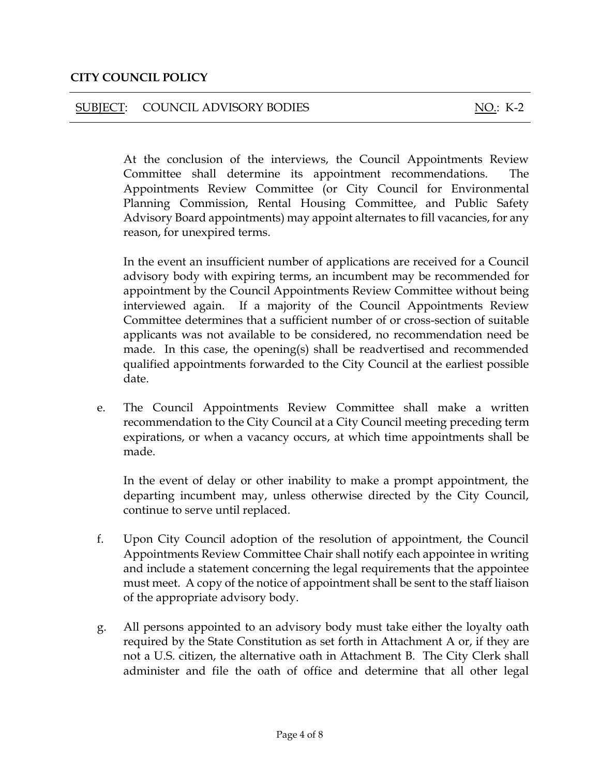### SUBJECT: COUNCIL ADVISORY BODIES NO.: K-2

At the conclusion of the interviews, the Council Appointments Review Committee shall determine its appointment recommendations. The Appointments Review Committee (or City Council for Environmental Planning Commission, Rental Housing Committee, and Public Safety Advisory Board appointments) may appoint alternates to fill vacancies, for any reason, for unexpired terms.

In the event an insufficient number of applications are received for a Council advisory body with expiring terms, an incumbent may be recommended for appointment by the Council Appointments Review Committee without being interviewed again. If a majority of the Council Appointments Review Committee determines that a sufficient number of or cross-section of suitable applicants was not available to be considered, no recommendation need be made. In this case, the opening(s) shall be readvertised and recommended qualified appointments forwarded to the City Council at the earliest possible date.

e. The Council Appointments Review Committee shall make a written recommendation to the City Council at a City Council meeting preceding term expirations, or when a vacancy occurs, at which time appointments shall be made.

In the event of delay or other inability to make a prompt appointment, the departing incumbent may, unless otherwise directed by the City Council, continue to serve until replaced.

- f. Upon City Council adoption of the resolution of appointment, the Council Appointments Review Committee Chair shall notify each appointee in writing and include a statement concerning the legal requirements that the appointee must meet. A copy of the notice of appointment shall be sent to the staff liaison of the appropriate advisory body.
- g. All persons appointed to an advisory body must take either the loyalty oath required by the State Constitution as set forth in Attachment A or, if they are not a U.S. citizen, the alternative oath in Attachment B. The City Clerk shall administer and file the oath of office and determine that all other legal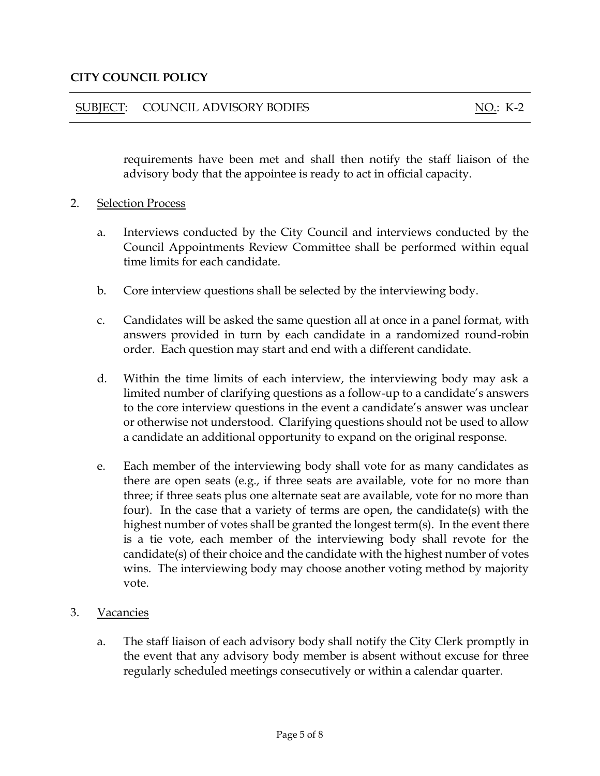#### SUBJECT: COUNCIL ADVISORY BODIES NO.: K-2

requirements have been met and shall then notify the staff liaison of the advisory body that the appointee is ready to act in official capacity.

#### 2. Selection Process

- a. Interviews conducted by the City Council and interviews conducted by the Council Appointments Review Committee shall be performed within equal time limits for each candidate.
- b. Core interview questions shall be selected by the interviewing body.
- c. Candidates will be asked the same question all at once in a panel format, with answers provided in turn by each candidate in a randomized round-robin order. Each question may start and end with a different candidate.
- d. Within the time limits of each interview, the interviewing body may ask a limited number of clarifying questions as a follow-up to a candidate's answers to the core interview questions in the event a candidate's answer was unclear or otherwise not understood. Clarifying questions should not be used to allow a candidate an additional opportunity to expand on the original response.
- e. Each member of the interviewing body shall vote for as many candidates as there are open seats (e.g., if three seats are available, vote for no more than three; if three seats plus one alternate seat are available, vote for no more than four). In the case that a variety of terms are open, the candidate(s) with the highest number of votes shall be granted the longest term(s). In the event there is a tie vote, each member of the interviewing body shall revote for the candidate(s) of their choice and the candidate with the highest number of votes wins. The interviewing body may choose another voting method by majority vote.
- 3. Vacancies
	- a. The staff liaison of each advisory body shall notify the City Clerk promptly in the event that any advisory body member is absent without excuse for three regularly scheduled meetings consecutively or within a calendar quarter.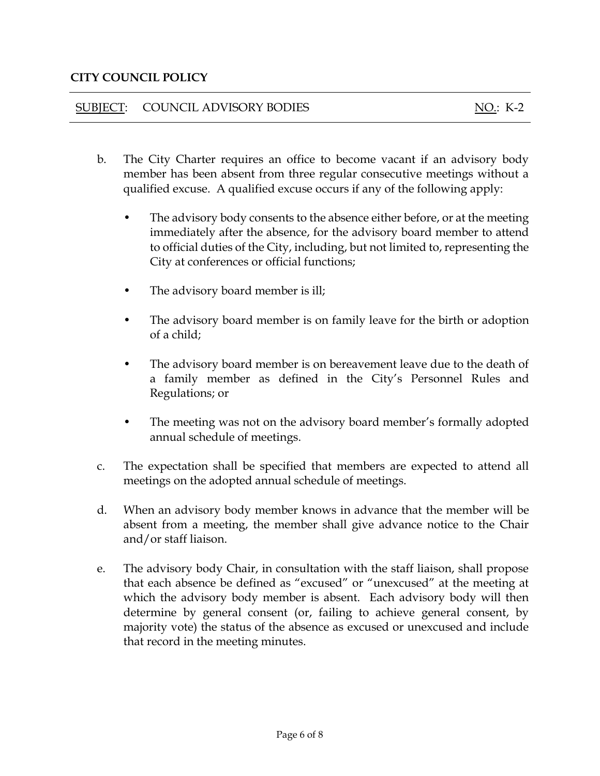## SUBJECT: COUNCIL ADVISORY BODIES NO.: K-2

- b. The City Charter requires an office to become vacant if an advisory body member has been absent from three regular consecutive meetings without a qualified excuse. A qualified excuse occurs if any of the following apply:
	- The advisory body consents to the absence either before, or at the meeting immediately after the absence, for the advisory board member to attend to official duties of the City, including, but not limited to, representing the City at conferences or official functions;
	- The advisory board member is ill;
	- The advisory board member is on family leave for the birth or adoption of a child;
	- The advisory board member is on bereavement leave due to the death of a family member as defined in the City's Personnel Rules and Regulations; or
	- The meeting was not on the advisory board member's formally adopted annual schedule of meetings.
- c. The expectation shall be specified that members are expected to attend all meetings on the adopted annual schedule of meetings.
- d. When an advisory body member knows in advance that the member will be absent from a meeting, the member shall give advance notice to the Chair and/or staff liaison.
- e. The advisory body Chair, in consultation with the staff liaison, shall propose that each absence be defined as "excused" or "unexcused" at the meeting at which the advisory body member is absent. Each advisory body will then determine by general consent (or, failing to achieve general consent, by majority vote) the status of the absence as excused or unexcused and include that record in the meeting minutes.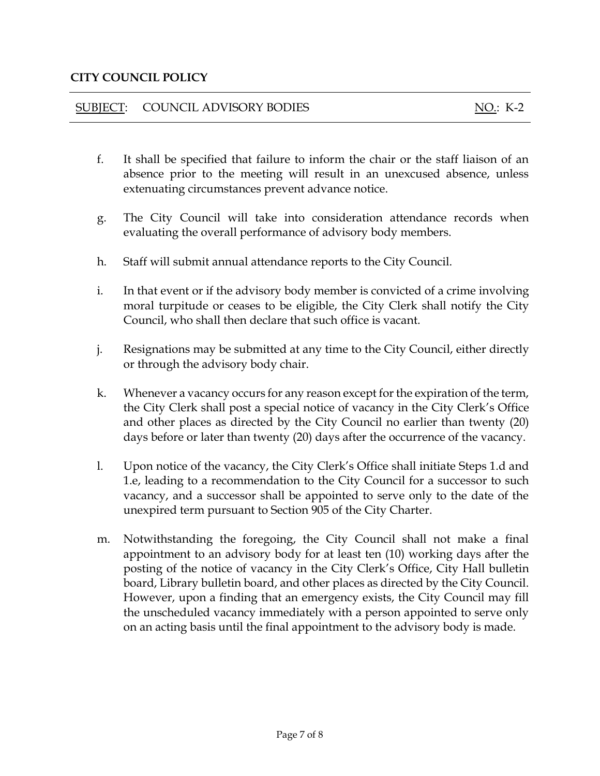### SUBJECT: COUNCIL ADVISORY BODIES NO.: K-2

- f. It shall be specified that failure to inform the chair or the staff liaison of an absence prior to the meeting will result in an unexcused absence, unless extenuating circumstances prevent advance notice.
- g. The City Council will take into consideration attendance records when evaluating the overall performance of advisory body members.
- h. Staff will submit annual attendance reports to the City Council.
- i. In that event or if the advisory body member is convicted of a crime involving moral turpitude or ceases to be eligible, the City Clerk shall notify the City Council, who shall then declare that such office is vacant.
- j. Resignations may be submitted at any time to the City Council, either directly or through the advisory body chair.
- k. Whenever a vacancy occurs for any reason except for the expiration of the term, the City Clerk shall post a special notice of vacancy in the City Clerk's Office and other places as directed by the City Council no earlier than twenty (20) days before or later than twenty (20) days after the occurrence of the vacancy.
- l. Upon notice of the vacancy, the City Clerk's Office shall initiate Steps 1.d and 1.e, leading to a recommendation to the City Council for a successor to such vacancy, and a successor shall be appointed to serve only to the date of the unexpired term pursuant to Section 905 of the City Charter.
- m. Notwithstanding the foregoing, the City Council shall not make a final appointment to an advisory body for at least ten (10) working days after the posting of the notice of vacancy in the City Clerk's Office, City Hall bulletin board, Library bulletin board, and other places as directed by the City Council. However, upon a finding that an emergency exists, the City Council may fill the unscheduled vacancy immediately with a person appointed to serve only on an acting basis until the final appointment to the advisory body is made.